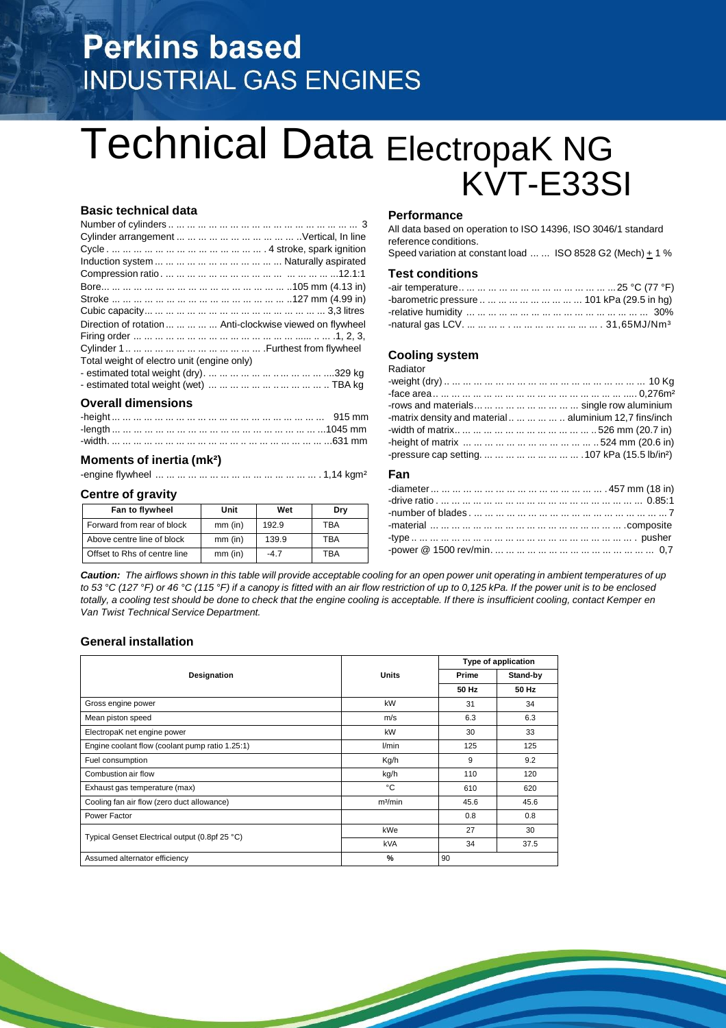# **Perkins based INDUSTRIAL GAS ENGINES**

# Technical Data ElectropaK NG KVT-E33SI

# **Basic technical data**

| Direction of rotation      Anti-clockwise viewed on flywheel |
|--------------------------------------------------------------|
|                                                              |
|                                                              |
| Total weight of electro unit (engine only)                   |
|                                                              |
|                                                              |
| <b>Overall dimensions</b>                                    |

# **Moments of inertia (mk²)**

-engine flywheel ... ... ... ... ... ... ... ... ... ... ... ... ... ... ... . 1,14 kgm²

### **Centre of gravity**

| Fan to flywheel              | Unit      | Wet   | Dry |
|------------------------------|-----------|-------|-----|
| Forward from rear of block   | $mm$ (in) | 192.9 | TBA |
| Above centre line of block   | $mm$ (in) | 139.9 | TBA |
| Offset to Rhs of centre line | $mm$ (in) | -47   | TRA |

#### **Performance**

All data based on operation to ISO 14396, ISO 3046/1 standard reference conditions.

Speed variation at constant load  $\dots \dots$  ISO 8528 G2 (Mech)  $\pm$  1 %

# **Test conditions**

| -barometric pressure          101 kPa (29.5 in hg) |  |
|----------------------------------------------------|--|
|                                                    |  |
|                                                    |  |

### **Cooling system**

Radiator

| rows and materials         single row aluminium             |  |
|-------------------------------------------------------------|--|
| -matrix density and material       aluminium 12,7 fins/inch |  |
|                                                             |  |
|                                                             |  |
|                                                             |  |

### **Fan**

Caution: The airflows shown in this table will provide acceptable cooling for an open power unit operating in ambient temperatures of up to 53 °C (127 °F) or 46 °C (115 °F) if a canopy is fitted with an air flow restriction of up to 0,125 kPa. If the power unit is to be enclosed totally, a cooling test should be done to check that the engine cooling is acceptable. If there is insufficient cooling, contact Kemper en *Van Twist Technical Service Department.*

### **General installation**

|                                                 |                     |       | Type of application |  |
|-------------------------------------------------|---------------------|-------|---------------------|--|
| Designation                                     | <b>Units</b>        | Prime | Stand-by            |  |
|                                                 |                     | 50 Hz | 50 Hz               |  |
| Gross engine power                              | kW                  | 31    | 34                  |  |
| Mean piston speed                               | m/s                 | 6.3   | 6.3                 |  |
| ElectropaK net engine power                     | kW                  | 30    | 33                  |  |
| Engine coolant flow (coolant pump ratio 1.25:1) | l/min               | 125   | 125                 |  |
| Fuel consumption                                | Kg/h                | 9     | 9.2                 |  |
| Combustion air flow                             | kg/h                | 110   | 120                 |  |
| Exhaust gas temperature (max)                   | ۰c                  | 610   | 620                 |  |
| Cooling fan air flow (zero duct allowance)      | m <sup>3</sup> /min | 45.6  | 45.6                |  |
| Power Factor                                    |                     | 0.8   | 0.8                 |  |
|                                                 | kWe                 | 27    | 30                  |  |
| Typical Genset Electrical output (0.8pf 25 °C)  | <b>kVA</b>          | 34    | 37.5                |  |
| Assumed alternator efficiency                   | %                   | 90    |                     |  |